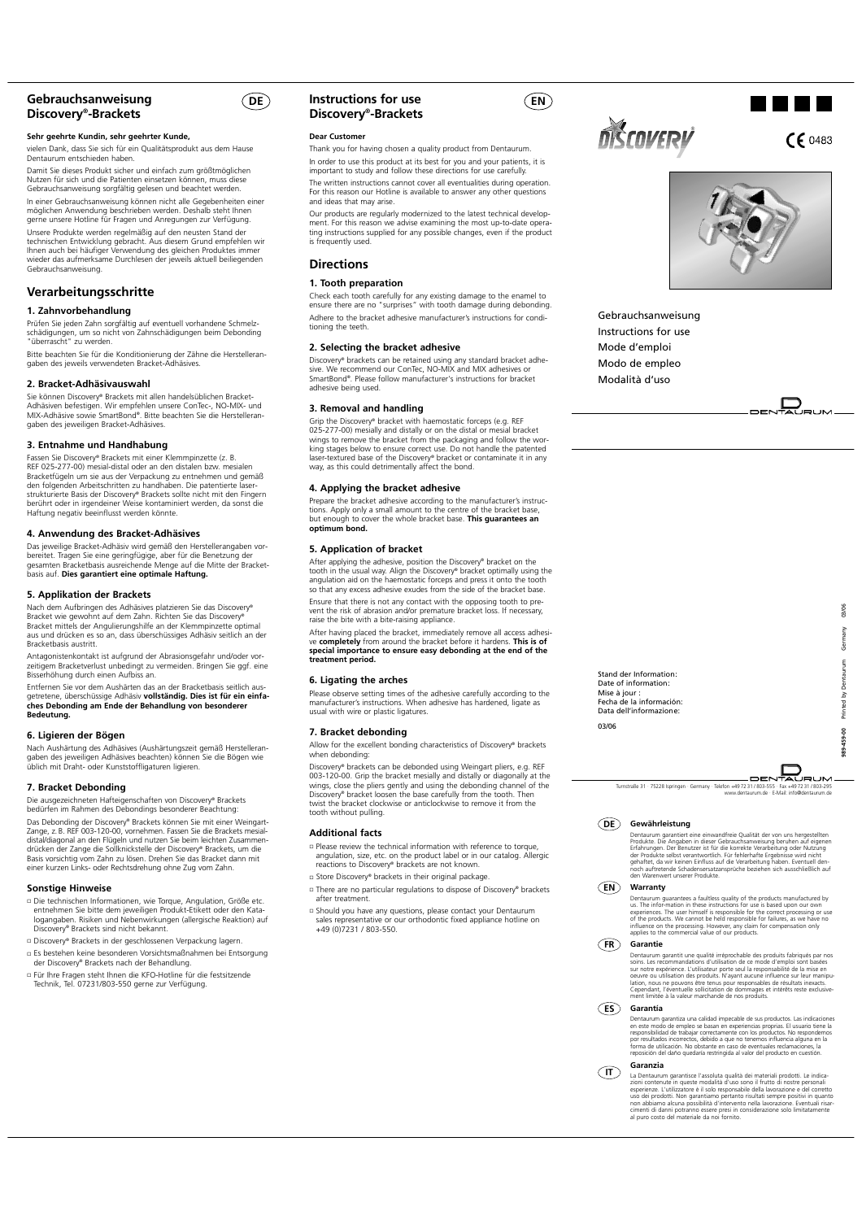# **Gebrauchsanweisung Discovery®-Brackets**

## **Sehr geehrte Kundin, sehr geehrter Kunde,**

vielen Dank, dass Sie sich für ein Qualitätsprodukt aus dem Hause Dentaurum entschieden haben.

Damit Sie dieses Produkt sicher und einfach zum größtmöglichen Nutzen für sich und die Patienten einsetzen können, muss diese Gebrauchsanweisung sorgfältig gelesen und beachtet werden. In einer Gebrauchsanweisung können nicht alle Gegebenheiten einer

möglichen Anwendung beschrieben werden. Deshalb steht Ihnen gerne unsere Hotline für Fragen und Anregungen zur Verfügung. Unsere Produkte werden regelmäßig auf den neusten Stand der technischen Entwicklung gebracht. Aus diesem Grund empfehlen wir Ihnen auch bei häufiger Verwendung des gleichen Produktes immer wieder das aufmerksame Durchlesen der jeweils aktuell beiliegenden Gebrauchsanweisung.

# **Verarbeitungsschritte**

## **1. Zahnvorbehandlung**

Prüfen Sie jeden Zahn sorgfältig auf eventuell vorhandene Schmelzschädigungen, um so nicht von Zahnschädigungen beim Debonding "überrascht" zu werden.

Bitte beachten Sie für die Konditionierung der Zähne die Herstelleran-gaben des jeweils verwendeten Bracket-Adhäsives.

#### **2. Bracket-Adhäsivauswahl**

Sie können Discovery® Brackets mit allen handelsüblichen Bracket-<br>Adhäsiven befestigen. Wir empfehlen unsere ConTec-, NO-MIX- und<br>MIX-Adhäsive sowie SmartBond®. Bitte beachten Sie die Herstelleran-<br>qaben des jeweiligen Bra

#### **3. Entnahme und Handhabung**

Fassen Sie Discovery® Brackets mit einer Klemmpinzette (z. B.<br>REF 025-277-00) mesial-distal oder an den distalen bzw. mesialen<br>Bracketfügeln um sie aus der Verpackung zu entnehmen und gemäß den folgenden Arbeitschritten zu handhaben. Die patentierte laser-<br>strukturierte Basis der Discovery® Brackets sollte nicht mit den Fingern<br>berührt oder in irgendeiner Weise kontaminiert werden, da sonst die<br>Haftung negat

# **4. Anwendung des Bracket-Adhäsives**

Das jeweilige Bracket-Adhäsiv wird gemäß den Herstellerangaben vorbereitet. Tragen Sie eine geringfügige, aber für die Benetzung der<br>gesamten Bracketbasis ausreichende Menge auf die Mitte der Bracket-<br>basis auf. **Dies garantiert eine optimale Haftung.** 

## **5. Applikation der Brackets**

Nach dem Aufbringen des Adhäsives platzieren Sie das Discovery®<br>Bracket wie gewohnt auf dem Zahn. Richten Sie das Discovery®<br>Bracket mittels der Angulierungshife an der Klemmpinzette optimal<br>aus und drücken es so an, dass Bracketbasis austritt.

Antagonistenkontakt ist aufgrund der Abrasionsgefahr und/oder vor-zeitigem Bracketverlust unbedingt zu vermeiden. Bringen Sie ggf. eine Bisserhöhung durch einen Aufbiss an.

Entfernen Sie vor dem Aushärten das an der Bracketbasis seitlich aus-getretene, überschüssige Adhäsiv **vollständig. Dies ist für ein einfa-ches Debonding am Ende der Behandlung von besonderer Bedeutung.**

## **6. Ligieren der Bögen**

Nach Aushärtung des Adhäsives (Aushärtungszeit gemäß Herstelleran-<br>gaben des jeweiligen Adhäsives beachten) können Sie die Bögen wie<br>üblich mit Draht- oder Kunststoffligaturen ligieren.

# **7. Bracket Debonding**

Die ausgezeichneten Hafteigenschaften von Discovery® Brackets bedürfen im Rahmen des Debondings besonderer Beachtung: Das Debonding der Discovery® Brackets können Sie mit einer Weingart-Zange, z. B. REF 003-120-00, vornehmen. Fassen Sie die Brackets mesial-<br>distal/diagonal an den Flügeln und nutzen Sie beim leichten Zusammen-<br>drücken der Zange die Sollknickstelle der Discovery® Brackets, um die<br>Basis vors

#### **Sonstige Hinweise**

- Die technischen Informationen, wie Torque, Angulation, Größe etc. entnehmen Sie bitte dem jeweiligen Produkt-Etikett oder den Kata-logangaben. Risiken und Nebenwirkungen (allergische Reaktion) auf Discovery® Brackets sind nicht bekannt.
- Discovery® Brackets in der geschlossenen Verpackung lagern.
- Es bestehen keine besonderen Vorsichtsmaßnahmen bei Entsorgung der Discovery® Brackets nach der Behandlung.
- Für Ihre Fragen steht Ihnen die KFO-Hotline für die festsitzende Technik, Tel. 07231/803-550 gerne zur Verfügung.

# **DE Instructions for use Discovery®-Brackets**

#### **Dear Customer**

Thank you for having chosen a quality product from Dentaurum. In order to use this product at its best for you and your patients, it is important to study and follow these directions for use carefully. The written instructions cannot cover all eventualities during operation. For this reason our Hotline is available to answer any other questions and ideas that may arise.

Our products are regularly modernized to the latest technical develop-ment. For this reason we advise examining the most up-to-date opera-ting instructions supplied for any possible changes, even if the product is frequently used.

# **Directions**

# **1. Tooth preparation**

Check each tooth carefully for any existing damage to the enamel to ensure there are no "surprises" with tooth damage during debonding. Adhere to the bracket adhesive manufacturer's instructions for conditioning the teeth.

#### **2. Selecting the bracket adhesive**

Discovery® brackets can be retained using any standard bracket adhe-<br>sive. We recommend our ConTec, NO-MIX and MIX adhesives or<br>SmartBond®. Please follow manufacturer's instructions for bracket adhesive being used.

## **3. Removal and handling**

Grip the Discovery® bracket with haemostatic forceps (e.g. REF 025-277-00) mesially and distally or on the distal or mesial bracket wings to remove the bracket from the packaging and follow the working stages below to ensure correct use. Do not handle the patented laser-textured base of the Discovery® bracket or contaminate it in any way, as this could detrimentally affect the bond.

#### **4. Applying the bracket adhesive**

Prepare the bracket adhesive according to the manufacturer's instructions. Apply only a small amount to the centre of the bracket base, but enough to cover the whole bracket base. **This guarantees an optimum bond.**

## **5. Application of bracket**

After applying the adhesive, position the Discovery® bracket on the tooth in the usual way. Align the Discovery® bracket optimally using the angulation aid on the haemostatic forceps and press it onto the tooth so that any excess adhesive exudes from the side of the bracket base.

Ensure that there is not any contact with the opposing tooth to pre-vent the risk of abrasion and/or premature bracket loss. If necessary, raise the bite with a bite-raising appliance.

After having placed the bracket, immediately remove all access adhesi-<br>ve **completely** from around the bracket before it hardens. **This is of**<br>**special importance to ensure easy debonding at the end of the treatment period.**

#### **6. Ligating the arches**

Please observe setting times of the adhesive carefully according to the manufacturer's instructions. When adhesive has hardened, ligate as usual with wire or plastic ligatures.

## **7. Bracket debonding**

Allow for the excellent bonding characteristics of Discovery® brackets when debonding:

Discovery® brackets can be debonded using Weingart pliers, e.g. REF<br>003-120-00. Grip the bracket mesially and distally or diagonally at the<br>wings, close the pliers gently and using the debonding channel of the Discovery® bracket loosen the base carefully from the tooth. Then twist the bracket clockwise or anticlockwise to remove it from the tooth without pulling.

# **Additional facts**

- Please review the technical information with reference to torque, angulation, size, etc. on the product label or in our catalog. Allergic reactions to Discovery® brackets are not known.
- □ Store Discovery® brackets in their original package.
- □ There are no particular regulations to dispose of Discovery® brackets after treatment.
- Should you have any questions, please contact your Dentaurum sales representative or our orthodontic fixed appliance hotline on +49 (0)7231 / 803-550.

# **OISCOVERY**

**EN**

 $CF 0483$ 

an Tara



Gebrauchsanweisung Instructions for use Mode d'emploi Modo de empleo Modalità d'uso





# DENTAURUM

Turnstraße 31 · 75228 Ispringen · Germany · Telefon +49 72 31 / 8 www.dentaurum.de · E-Mail: info@dentaurum.de

**Gewährleistung DE**

Stand der Information: Date of information: Mise à jour : Fecha de la información: Data dell'informazione:

03/06

Dentaurum garantiert eine einwandfreie Qualität der von uns hergestellten<br>Produkte. Die Angaben in dieser Gebrauchsanweisung beruhen auf eigenen<br>Erfahrungen. Der Benutzer ist für die korrekte Verarbeitung oder Nutzung<br>der

#### **Warranty EN**

Dentaurum guarantees a faulties quality of the products manufactured by<br>us. The infor-mation in these instructions for use is based upon our own<br>experiences. The user himself is responsible for the correct processing or us

#### **Garantie FR**

Dentaurum garantit une qualité irréprochable des produits fabriqués par nos<br>Soins. Les recommandations d'utilisation de ce mode d'emploi sont basées<br>sur notre expérience. L'utilisateur porte seul la responsabilité de la mi

#### **Garantía ES**

Dentaurum garantiza una calidad impecable de sus productos. Las indicaciones<br>en este modo de empleo se basan en experiencias proprias. El usuario tiene la<br>responsibilidad de trabajar correctamente con los productos. No res

#### **Garanzia IT**

La Dentaurum garantisce l'assoluta qualità dei materiali prodotti. Le indica-<br>zioni contenute in queste modalità d'uso sono il frutto di nostre personali<br>esperienze. L'utilizzatore è il solo responsabile della lavorazione